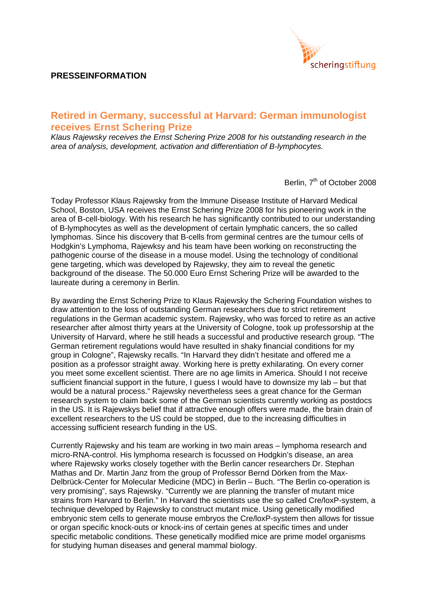## **PRESSEINFORMATION**



## **Retired in Germany, successful at Harvard: German immunologist receives Ernst Schering Prize**

*Klaus Rajewsky receives the Ernst Schering Prize 2008 for his outstanding research in the area of analysis, development, activation and differentiation of B-lymphocytes.* 

Berlin, 7<sup>th</sup> of October 2008

Today Professor Klaus Rajewsky from the Immune Disease Institute of Harvard Medical School, Boston, USA receives the Ernst Schering Prize 2008 for his pioneering work in the area of B-cell-biology. With his research he has significantly contributed to our understanding of B-lymphocytes as well as the development of certain lymphatic cancers, the so called lymphomas. Since his discovery that B-cells from germinal centres are the tumour cells of Hodgkin's Lymphoma, Rajewksy and his team have been working on reconstructing the pathogenic course of the disease in a mouse model. Using the technology of conditional gene targeting, which was developed by Rajewsky, they aim to reveal the genetic background of the disease. The 50.000 Euro Ernst Schering Prize will be awarded to the laureate during a ceremony in Berlin.

By awarding the Ernst Schering Prize to Klaus Rajewsky the Schering Foundation wishes to draw attention to the loss of outstanding German researchers due to strict retirement regulations in the German academic system. Rajewsky, who was forced to retire as an active researcher after almost thirty years at the University of Cologne, took up professorship at the University of Harvard, where he still heads a successful and productive research group. "The German retirement regulations would have resulted in shaky financial conditions for my group in Cologne", Rajewsky recalls. "In Harvard they didn't hesitate and offered me a position as a professor straight away. Working here is pretty exhilarating. On every corner you meet some excellent scientist. There are no age limits in America. Should I not receive sufficient financial support in the future, I guess I would have to downsize my lab – but that would be a natural process." Rajewsky nevertheless sees a great chance for the German research system to claim back some of the German scientists currently working as postdocs in the US. It is Rajewskys belief that if attractive enough offers were made, the brain drain of excellent researchers to the US could be stopped, due to the increasing difficulties in accessing sufficient research funding in the US.

Currently Rajewsky and his team are working in two main areas – lymphoma research and micro-RNA-control. His lymphoma research is focussed on Hodgkin's disease, an area where Rajewsky works closely together with the Berlin cancer researchers Dr. Stephan Mathas and Dr. Martin Janz from the group of Professor Bernd Dörken from the Max-Delbrück-Center for Molecular Medicine (MDC) in Berlin – Buch. "The Berlin co-operation is very promising", says Rajewsky. "Currently we are planning the transfer of mutant mice strains from Harvard to Berlin." In Harvard the scientists use the so called Cre/loxP-system, a technique developed by Rajewsky to construct mutant mice. Using genetically modified embryonic stem cells to generate mouse embryos the Cre/loxP-system then allows for tissue or organ specific knock-outs or knock-ins of certain genes at specific times and under specific metabolic conditions. These genetically modified mice are prime model organisms for studying human diseases and general mammal biology.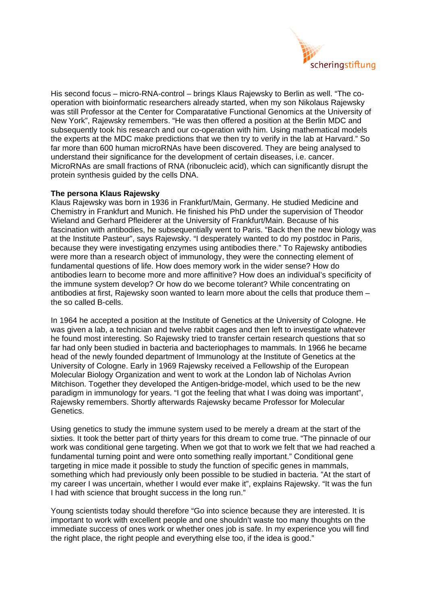

His second focus – micro-RNA-control – brings Klaus Rajewsky to Berlin as well. "The cooperation with bioinformatic researchers already started, when my son Nikolaus Rajewsky was still Professor at the Center for Comparatative Functional Genomics at the University of New York", Rajewsky remembers. "He was then offered a position at the Berlin MDC and subsequently took his research and our co-operation with him. Using mathematical models the experts at the MDC make predictions that we then try to verify in the lab at Harvard." So far more than 600 human microRNAs have been discovered. They are being analysed to understand their significance for the development of certain diseases, i.e. cancer. MicroRNAs are small fractions of RNA (ribonucleic acid), which can significantly disrupt the protein synthesis guided by the cells DNA.

## **The persona Klaus Rajewsky**

Klaus Rajewsky was born in 1936 in Frankfurt/Main, Germany. He studied Medicine and Chemistry in Frankfurt and Munich. He finished his PhD under the supervision of Theodor Wieland and Gerhard Pfleiderer at the University of Frankfurt/Main. Because of his fascination with antibodies, he subsequentially went to Paris. "Back then the new biology was at the Institute Pasteur", says Rajewsky. "I desperately wanted to do my postdoc in Paris, because they were investigating enzymes using antibodies there." To Rajewsky antibodies were more than a research object of immunology, they were the connecting element of fundamental questions of life. How does memory work in the wider sense? How do antibodies learn to become more and more affinitive? How does an individual's specificity of the immune system develop? Or how do we become tolerant? While concentrating on antibodies at first, Rajewsky soon wanted to learn more about the cells that produce them – the so called B-cells.

In 1964 he accepted a position at the Institute of Genetics at the University of Cologne. He was given a lab, a technician and twelve rabbit cages and then left to investigate whatever he found most interesting. So Rajewsky tried to transfer certain research questions that so far had only been studied in bacteria and bacteriophages to mammals. In 1966 he became head of the newly founded department of Immunology at the Institute of Genetics at the University of Cologne. Early in 1969 Rajewsky received a Fellowship of the European Molecular Biology Organization and went to work at the London lab of Nicholas Avrion Mitchison. Together they developed the Antigen-bridge-model, which used to be the new paradigm in immunology for years. "I got the feeling that what I was doing was important", Rajewsky remembers. Shortly afterwards Rajewsky became Professor for Molecular Genetics.

Using genetics to study the immune system used to be merely a dream at the start of the sixties. It took the better part of thirty years for this dream to come true. "The pinnacle of our work was conditional gene targeting. When we got that to work we felt that we had reached a fundamental turning point and were onto something really important." Conditional gene targeting in mice made it possible to study the function of specific genes in mammals, something which had previously only been possible to be studied in bacteria. "At the start of my career I was uncertain, whether I would ever make it", explains Rajewsky. "It was the fun I had with science that brought success in the long run."

Young scientists today should therefore "Go into science because they are interested. It is important to work with excellent people and one shouldn't waste too many thoughts on the immediate success of ones work or whether ones job is safe. In my experience you will find the right place, the right people and everything else too, if the idea is good."